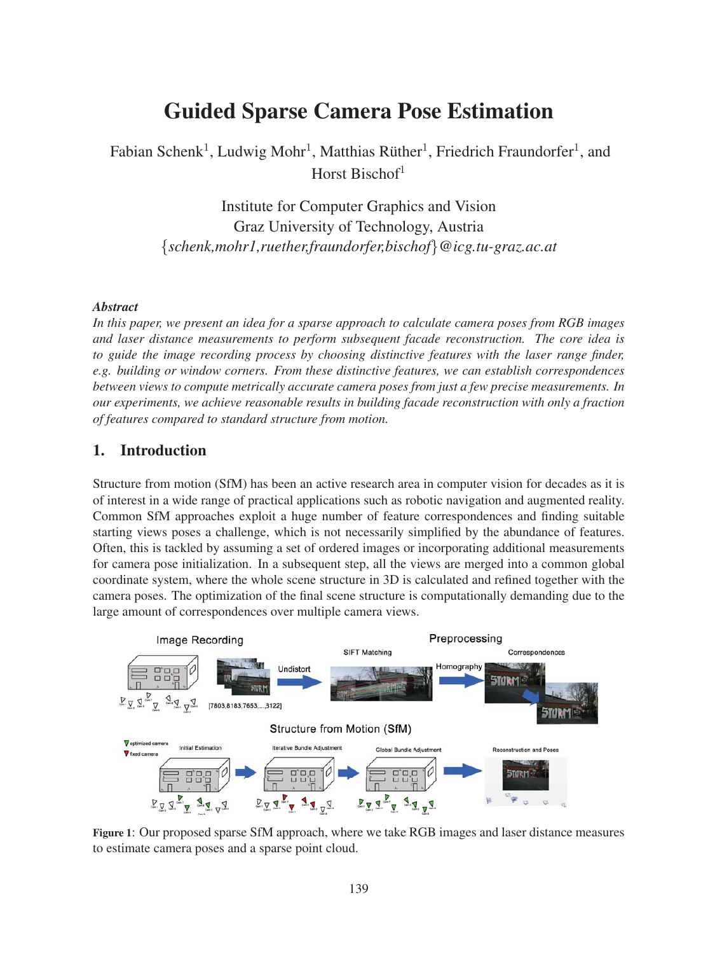# Guided Sparse Camera Pose Estimation

Fabian Schenk<sup>1</sup>, Ludwig Mohr<sup>1</sup>, Matthias Rüther<sup>1</sup>, Friedrich Fraundorfer<sup>1</sup>, and Horst Bischof<sup>1</sup>

> Institute for Computer Graphics and Vision Graz University of Technology, Austria {*schenk,mohr1,ruether,fraundorfer,bischof*}*@icg.tu-graz.ac.at*

#### *Abstract*

*In this paper, we present an idea for a sparse approach to calculate camera poses from RGB images and laser distance measurements to perform subsequent facade reconstruction. The core idea is to guide the image recording process by choosing distinctive features with the laser range finder, e.g. building or window corners. From these distinctive features, we can establish correspondences between views to compute metrically accurate camera poses from just a few precise measurements. In our experiments, we achieve reasonable results in building facade reconstruction with only a fraction of features compared to standard structure from motion.*

### 1. Introduction

Structure from motion (SfM) has been an active research area in computer vision for decades as it is of interest in a wide range of practical applications such as robotic navigation and augmented reality. Common SfM approaches exploit a huge number of feature correspondences and finding suitable starting views poses a challenge, which is not necessarily simplified by the abundance of features. Often, this is tackled by assuming a set of ordered images or incorporating additional measurements for camera pose initialization. In a subsequent step, all the views are merged into a common global coordinate system, where the whole scene structure in 3D is calculated and refined together with the camera poses. The optimization of the final scene structure is computationally demanding due to the large amount of correspondences over multiple camera views.



Figure 1: Our proposed sparse SfM approach, where we take RGB images and laser distance measures to estimate camera poses and a sparse point cloud.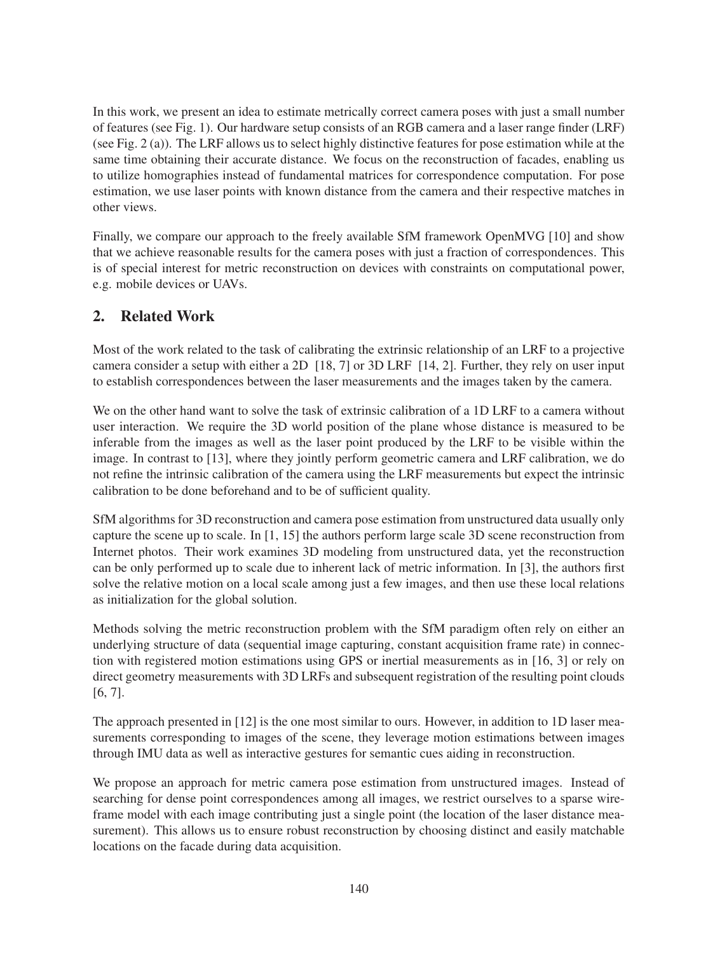In this work, we present an idea to estimate metrically correct camera poses with just a small number of features (see Fig. 1). Our hardware setup consists of an RGB camera and a laser range finder (LRF) (see Fig. 2 (a)). The LRF allows us to select highly distinctive features for pose estimation while at the same time obtaining their accurate distance. We focus on the reconstruction of facades, enabling us to utilize homographies instead of fundamental matrices for correspondence computation. For pose estimation, we use laser points with known distance from the camera and their respective matches in other views.

Finally, we compare our approach to the freely available SfM framework OpenMVG [10] and show that we achieve reasonable results for the camera poses with just a fraction of correspondences. This is of special interest for metric reconstruction on devices with constraints on computational power, e.g. mobile devices or UAVs.

# 2. Related Work

Most of the work related to the task of calibrating the extrinsic relationship of an LRF to a projective camera consider a setup with either a 2D [18, 7] or 3D LRF [14, 2]. Further, they rely on user input to establish correspondences between the laser measurements and the images taken by the camera.

We on the other hand want to solve the task of extrinsic calibration of a 1D LRF to a camera without user interaction. We require the 3D world position of the plane whose distance is measured to be inferable from the images as well as the laser point produced by the LRF to be visible within the image. In contrast to [13], where they jointly perform geometric camera and LRF calibration, we do not refine the intrinsic calibration of the camera using the LRF measurements but expect the intrinsic calibration to be done beforehand and to be of sufficient quality.

SfM algorithms for 3D reconstruction and camera pose estimation from unstructured data usually only capture the scene up to scale. In [1, 15] the authors perform large scale 3D scene reconstruction from Internet photos. Their work examines 3D modeling from unstructured data, yet the reconstruction can be only performed up to scale due to inherent lack of metric information. In [3], the authors first solve the relative motion on a local scale among just a few images, and then use these local relations as initialization for the global solution.

Methods solving the metric reconstruction problem with the SfM paradigm often rely on either an underlying structure of data (sequential image capturing, constant acquisition frame rate) in connection with registered motion estimations using GPS or inertial measurements as in [16, 3] or rely on direct geometry measurements with 3D LRFs and subsequent registration of the resulting point clouds [6, 7].

The approach presented in [12] is the one most similar to ours. However, in addition to 1D laser measurements corresponding to images of the scene, they leverage motion estimations between images through IMU data as well as interactive gestures for semantic cues aiding in reconstruction.

We propose an approach for metric camera pose estimation from unstructured images. Instead of searching for dense point correspondences among all images, we restrict ourselves to a sparse wireframe model with each image contributing just a single point (the location of the laser distance measurement). This allows us to ensure robust reconstruction by choosing distinct and easily matchable locations on the facade during data acquisition.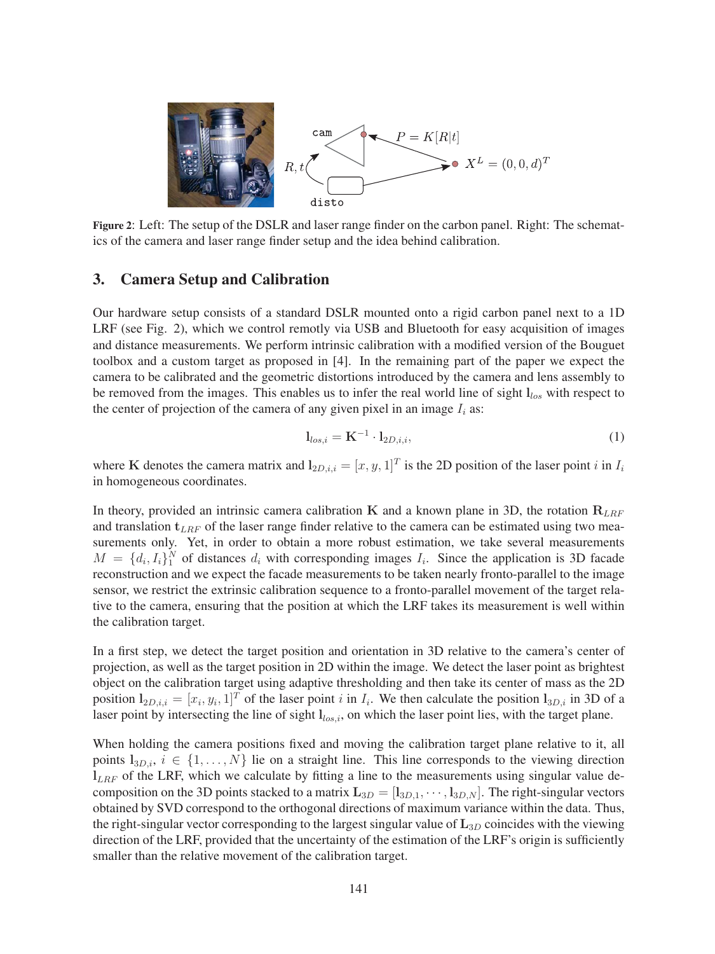

Figure 2: Left: The setup of the DSLR and laser range finder on the carbon panel. Right: The schematics of the camera and laser range finder setup and the idea behind calibration.

#### 3. Camera Setup and Calibration

Our hardware setup consists of a standard DSLR mounted onto a rigid carbon panel next to a 1D LRF (see Fig. 2), which we control remotly via USB and Bluetooth for easy acquisition of images and distance measurements. We perform intrinsic calibration with a modified version of the Bouguet toolbox and a custom target as proposed in [4]. In the remaining part of the paper we expect the camera to be calibrated and the geometric distortions introduced by the camera and lens assembly to be removed from the images. This enables us to infer the real world line of sight **l***los* with respect to the center of projection of the camera of any given pixel in an image  $I_i$  as:

$$
\mathbf{l}_{los,i} = \mathbf{K}^{-1} \cdot \mathbf{l}_{2D,i,i},\tag{1}
$$

where **K** denotes the camera matrix and  $I_{2D,i,i} = [x, y, 1]^T$  is the 2D position of the laser point *i* in  $I_i$ in homogeneous coordinates.

In theory, provided an intrinsic camera calibration **K** and a known plane in 3D, the rotation  $\mathbf{R}_{LRF}$ and translation **t***LRF* of the laser range finder relative to the camera can be estimated using two measurements only. Yet, in order to obtain a more robust estimation, we take several measurements  $M = \{d_i, I_i\}$ <sup>N</sup> of distances  $d_i$  with corresponding images  $I_i$ . Since the application is 3D facade reconstruction and we expect the facade measurements to be taken nearly fronto-parallel to the image sensor, we restrict the extrinsic calibration sequence to a fronto-parallel movement of the target relative to the camera, ensuring that the position at which the LRF takes its measurement is well within the calibration target.

In a first step, we detect the target position and orientation in 3D relative to the camera's center of projection, as well as the target position in 2D within the image. We detect the laser point as brightest object on the calibration target using adaptive thresholding and then take its center of mass as the 2D position  $I_{2D,i,i} = [x_i, y_i, 1]^T$  of the laser point i in  $I_i$ . We then calculate the position  $I_{3D,i}$  in 3D of a laser point by intersecting the line of sight **l***los,i*, on which the laser point lies, with the target plane.

When holding the camera positions fixed and moving the calibration target plane relative to it, all points  $l_{3D,i}$ ,  $i \in \{1,\ldots,N\}$  lie on a straight line. This line corresponds to the viewing direction **l***LRF* of the LRF, which we calculate by fitting a line to the measurements using singular value decomposition on the 3D points stacked to a matrix  $\mathbf{L}_{3D} = [\mathbf{l}_{3D,1}, \cdots, \mathbf{l}_{3D,N}]$ . The right-singular vectors obtained by SVD correspond to the orthogonal directions of maximum variance within the data. Thus, the right-singular vector corresponding to the largest singular value of **L**3*<sup>D</sup>* coincides with the viewing direction of the LRF, provided that the uncertainty of the estimation of the LRF's origin is sufficiently smaller than the relative movement of the calibration target.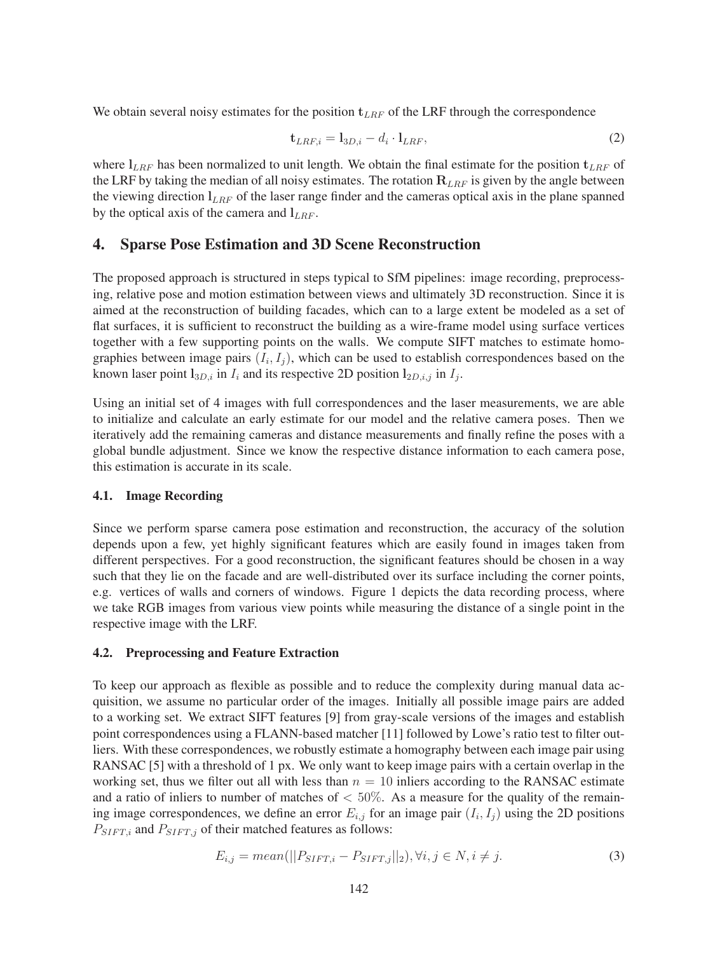We obtain several noisy estimates for the position  $t_{LRF}$  of the LRF through the correspondence

$$
\mathbf{t}_{LRF,i} = \mathbf{l}_{3D,i} - d_i \cdot \mathbf{l}_{LRF},\tag{2}
$$

where **l***LRF* has been normalized to unit length. We obtain the final estimate for the position **t***LRF* of the LRF by taking the median of all noisy estimates. The rotation  $R_{LRF}$  is given by the angle between the viewing direction **l***LRF* of the laser range finder and the cameras optical axis in the plane spanned by the optical axis of the camera and **l***LRF* .

### 4. Sparse Pose Estimation and 3D Scene Reconstruction

The proposed approach is structured in steps typical to SfM pipelines: image recording, preprocessing, relative pose and motion estimation between views and ultimately 3D reconstruction. Since it is aimed at the reconstruction of building facades, which can to a large extent be modeled as a set of flat surfaces, it is sufficient to reconstruct the building as a wire-frame model using surface vertices together with a few supporting points on the walls. We compute SIFT matches to estimate homographies between image pairs  $(I_i, I_j)$ , which can be used to establish correspondences based on the known laser point  $\mathbf{l}_{3D,i}$  in  $I_i$  and its respective 2D position  $\mathbf{l}_{2D,i,j}$  in  $I_j$ .

Using an initial set of 4 images with full correspondences and the laser measurements, we are able to initialize and calculate an early estimate for our model and the relative camera poses. Then we iteratively add the remaining cameras and distance measurements and finally refine the poses with a global bundle adjustment. Since we know the respective distance information to each camera pose, this estimation is accurate in its scale.

#### 4.1. Image Recording

Since we perform sparse camera pose estimation and reconstruction, the accuracy of the solution depends upon a few, yet highly significant features which are easily found in images taken from different perspectives. For a good reconstruction, the significant features should be chosen in a way such that they lie on the facade and are well-distributed over its surface including the corner points, e.g. vertices of walls and corners of windows. Figure 1 depicts the data recording process, where we take RGB images from various view points while measuring the distance of a single point in the respective image with the LRF.

#### 4.2. Preprocessing and Feature Extraction

To keep our approach as flexible as possible and to reduce the complexity during manual data acquisition, we assume no particular order of the images. Initially all possible image pairs are added to a working set. We extract SIFT features [9] from gray-scale versions of the images and establish point correspondences using a FLANN-based matcher [11] followed by Lowe's ratio test to filter outliers. With these correspondences, we robustly estimate a homography between each image pair using RANSAC [5] with a threshold of 1 px. We only want to keep image pairs with a certain overlap in the working set, thus we filter out all with less than  $n = 10$  inliers according to the RANSAC estimate and a ratio of inliers to number of matches of  $< 50\%$ . As a measure for the quality of the remaining image correspondences, we define an error  $E_{i,j}$  for an image pair  $(I_i, I_j)$  using the 2D positions  $P_{SIFT,i}$  and  $P_{SIFT,j}$  of their matched features as follows:

$$
E_{i,j} = mean(||P_{SIFT,i} - P_{SIFT,j}||_2), \forall i, j \in N, i \neq j.
$$
\n
$$
(3)
$$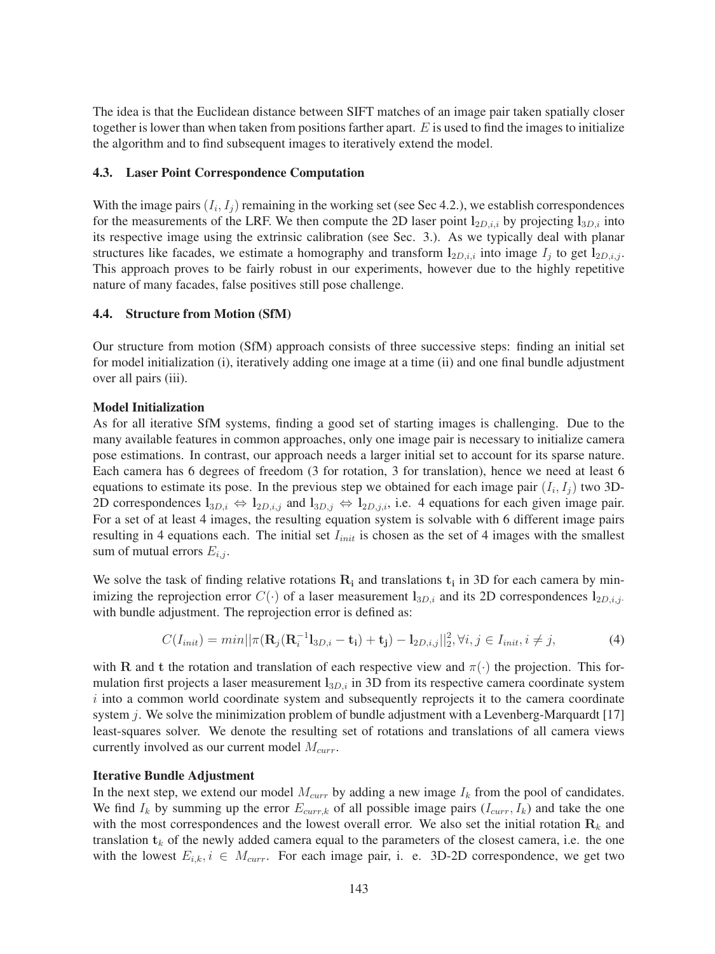The idea is that the Euclidean distance between SIFT matches of an image pair taken spatially closer together is lower than when taken from positions farther apart.  $E$  is used to find the images to initialize the algorithm and to find subsequent images to iteratively extend the model.

#### 4.3. Laser Point Correspondence Computation

With the image pairs  $(I_i, I_j)$  remaining in the working set (see Sec 4.2.), we establish correspondences for the measurements of the LRF. We then compute the 2D laser point  $l_{2D,i,i}$  by projecting  $l_{3D,i}$  into its respective image using the extrinsic calibration (see Sec. 3.). As we typically deal with planar structures like facades, we estimate a homography and transform  $l_{2D,i,i}$  into image  $I_j$  to get  $l_{2D,i,j}$ . This approach proves to be fairly robust in our experiments, however due to the highly repetitive nature of many facades, false positives still pose challenge.

#### 4.4. Structure from Motion (SfM)

Our structure from motion (SfM) approach consists of three successive steps: finding an initial set for model initialization (i), iteratively adding one image at a time (ii) and one final bundle adjustment over all pairs (iii).

#### Model Initialization

As for all iterative SfM systems, finding a good set of starting images is challenging. Due to the many available features in common approaches, only one image pair is necessary to initialize camera pose estimations. In contrast, our approach needs a larger initial set to account for its sparse nature. Each camera has 6 degrees of freedom (3 for rotation, 3 for translation), hence we need at least 6 equations to estimate its pose. In the previous step we obtained for each image pair  $(I_i, I_j)$  two 3D-2D correspondences  $l_{3D,i} \Leftrightarrow l_{2D,i,j}$  and  $l_{3D,j} \Leftrightarrow l_{2D,j,i}$ , i.e. 4 equations for each given image pair. For a set of at least 4 images, the resulting equation system is solvable with 6 different image pairs resulting in 4 equations each. The initial set I*init* is chosen as the set of 4 images with the smallest sum of mutual errors  $E_{i,j}$ .

We solve the task of finding relative rotations  $R_i$  and translations  $t_i$  in 3D for each camera by minimizing the reprojection error  $C(\cdot)$  of a laser measurement  $\mathbf{l}_{3D,i}$  and its 2D correspondences  $\mathbf{l}_{2D,i,j}$ . with bundle adjustment. The reprojection error is defined as:

$$
C(I_{init}) = min||\pi(\mathbf{R}_j(\mathbf{R}_i^{-1}\mathbf{I}_{3D,i} - \mathbf{t}_i) + \mathbf{t}_j) - \mathbf{I}_{2D,i,j}||_2^2, \forall i, j \in I_{init}, i \neq j,
$$
\n(4)

with **R** and **t** the rotation and translation of each respective view and  $\pi(\cdot)$  the projection. This formulation first projects a laser measurement  $l_{3D,i}$  in 3D from its respective camera coordinate system  $i$  into a common world coordinate system and subsequently reprojects it to the camera coordinate system j. We solve the minimization problem of bundle adjustment with a Levenberg-Marquardt  $[17]$ least-squares solver. We denote the resulting set of rotations and translations of all camera views currently involved as our current model M*curr*.

#### Iterative Bundle Adjustment

In the next step, we extend our model  $M_{curr}$  by adding a new image  $I_k$  from the pool of candidates. We find  $I_k$  by summing up the error  $E_{curr,k}$  of all possible image pairs  $(I_{curr}, I_k)$  and take the one with the most correspondences and the lowest overall error. We also set the initial rotation  $\mathbf{R}_k$  and translation  $t_k$  of the newly added camera equal to the parameters of the closest camera, i.e. the one with the lowest  $E_{i,k}$ ,  $i \in M_{curr}$ . For each image pair, i. e. 3D-2D correspondence, we get two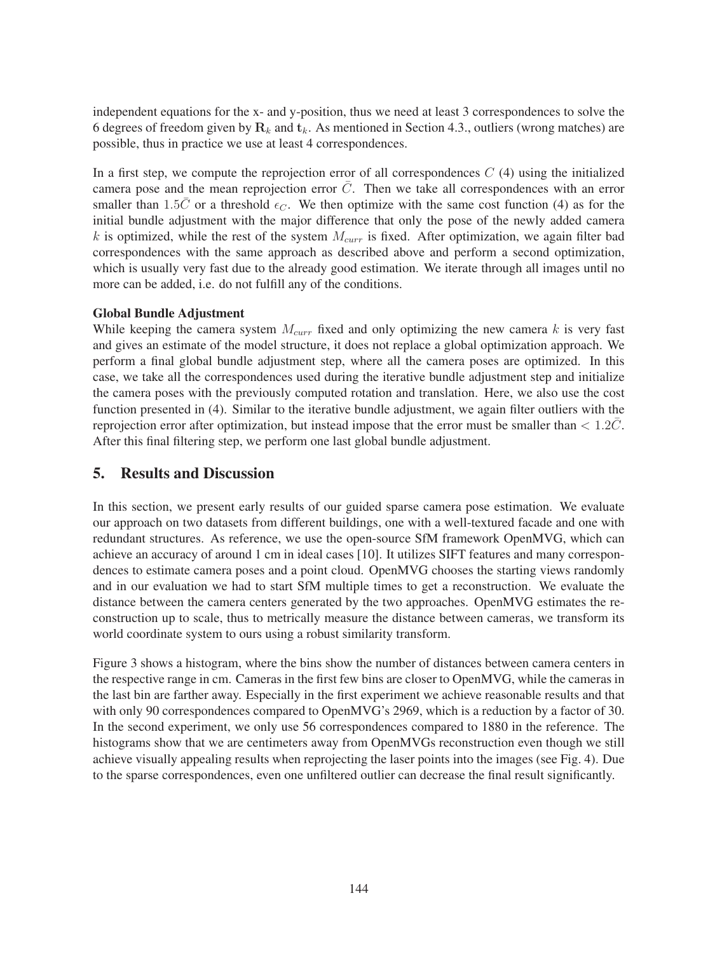independent equations for the x- and y-position, thus we need at least 3 correspondences to solve the 6 degrees of freedom given by  $\mathbf{R}_k$  and  $\mathbf{t}_k$ . As mentioned in Section 4.3., outliers (wrong matches) are possible, thus in practice we use at least 4 correspondences.

In a first step, we compute the reprojection error of all correspondences  $C(4)$  using the initialized camera pose and the mean reprojection error  $\overline{C}$ . Then we take all correspondences with an error smaller than 1.5 $\bar{C}$  or a threshold  $\epsilon_C$ . We then optimize with the same cost function (4) as for the initial bundle adjustment with the major difference that only the pose of the newly added camera k is optimized, while the rest of the system  $M_{curr}$  is fixed. After optimization, we again filter bad correspondences with the same approach as described above and perform a second optimization, which is usually very fast due to the already good estimation. We iterate through all images until no more can be added, i.e. do not fulfill any of the conditions.

### Global Bundle Adjustment

While keeping the camera system M*curr* fixed and only optimizing the new camera k is very fast and gives an estimate of the model structure, it does not replace a global optimization approach. We perform a final global bundle adjustment step, where all the camera poses are optimized. In this case, we take all the correspondences used during the iterative bundle adjustment step and initialize the camera poses with the previously computed rotation and translation. Here, we also use the cost function presented in (4). Similar to the iterative bundle adjustment, we again filter outliers with the reprojection error after optimization, but instead impose that the error must be smaller than  $< 1.2C$ . After this final filtering step, we perform one last global bundle adjustment.

## 5. Results and Discussion

In this section, we present early results of our guided sparse camera pose estimation. We evaluate our approach on two datasets from different buildings, one with a well-textured facade and one with redundant structures. As reference, we use the open-source SfM framework OpenMVG, which can achieve an accuracy of around 1 cm in ideal cases [10]. It utilizes SIFT features and many correspondences to estimate camera poses and a point cloud. OpenMVG chooses the starting views randomly and in our evaluation we had to start SfM multiple times to get a reconstruction. We evaluate the distance between the camera centers generated by the two approaches. OpenMVG estimates the reconstruction up to scale, thus to metrically measure the distance between cameras, we transform its world coordinate system to ours using a robust similarity transform.

Figure 3 shows a histogram, where the bins show the number of distances between camera centers in the respective range in cm. Cameras in the first few bins are closer to OpenMVG, while the cameras in the last bin are farther away. Especially in the first experiment we achieve reasonable results and that with only 90 correspondences compared to OpenMVG's 2969, which is a reduction by a factor of 30. In the second experiment, we only use 56 correspondences compared to 1880 in the reference. The histograms show that we are centimeters away from OpenMVGs reconstruction even though we still achieve visually appealing results when reprojecting the laser points into the images (see Fig. 4). Due to the sparse correspondences, even one unfiltered outlier can decrease the final result significantly.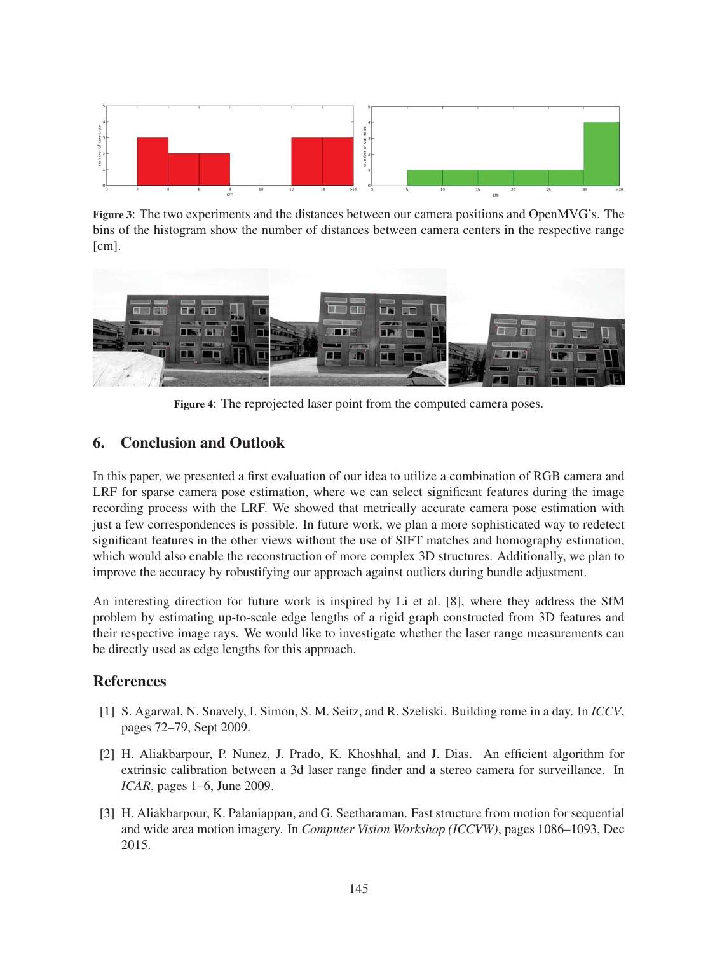

Figure 3: The two experiments and the distances between our camera positions and OpenMVG's. The bins of the histogram show the number of distances between camera centers in the respective range [cm].



Figure 4: The reprojected laser point from the computed camera poses.

# 6. Conclusion and Outlook

In this paper, we presented a first evaluation of our idea to utilize a combination of RGB camera and LRF for sparse camera pose estimation, where we can select significant features during the image recording process with the LRF. We showed that metrically accurate camera pose estimation with just a few correspondences is possible. In future work, we plan a more sophisticated way to redetect significant features in the other views without the use of SIFT matches and homography estimation, which would also enable the reconstruction of more complex 3D structures. Additionally, we plan to improve the accuracy by robustifying our approach against outliers during bundle adjustment.

An interesting direction for future work is inspired by Li et al. [8], where they address the SfM problem by estimating up-to-scale edge lengths of a rigid graph constructed from 3D features and their respective image rays. We would like to investigate whether the laser range measurements can be directly used as edge lengths for this approach.

# References

- [1] S. Agarwal, N. Snavely, I. Simon, S. M. Seitz, and R. Szeliski. Building rome in a day. In *ICCV*, pages 72–79, Sept 2009.
- [2] H. Aliakbarpour, P. Nunez, J. Prado, K. Khoshhal, and J. Dias. An efficient algorithm for extrinsic calibration between a 3d laser range finder and a stereo camera for surveillance. In *ICAR*, pages 1–6, June 2009.
- [3] H. Aliakbarpour, K. Palaniappan, and G. Seetharaman. Fast structure from motion for sequential and wide area motion imagery. In *Computer Vision Workshop (ICCVW)*, pages 1086–1093, Dec 2015.